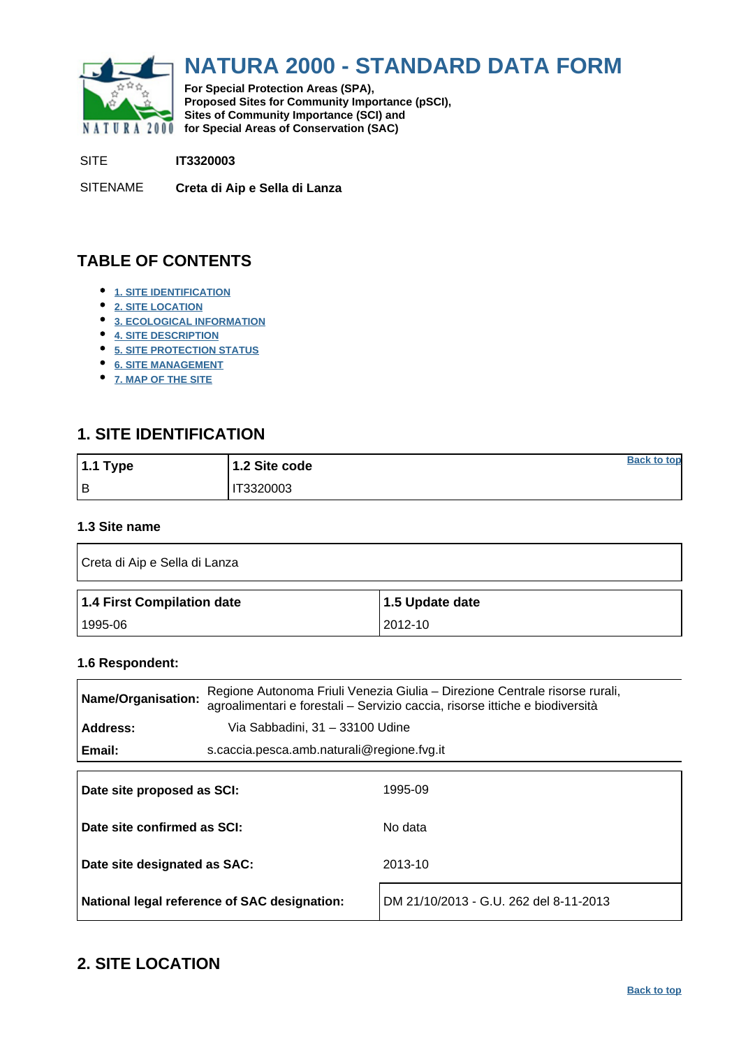<span id="page-0-0"></span>

# **NATURA 2000 - STANDARD DATA FORM**

**For Special Protection Areas (SPA), Proposed Sites for Community Importance (pSCI), Sites of Community Importance (SCI) and NATURA 2000 for Special Areas of Conservation (SAC)** 

SITE **IT3320003**

SITENAME **Creta di Aip e Sella di Lanza**

# **TABLE OF CONTENTS**

- **[1. SITE IDENTIFICATION](#page-0-1)**
- **[2. SITE LOCATION](#page-0-2)**
- **[3. ECOLOGICAL INFORMATION](#page-1-0)**
- **[4. SITE DESCRIPTION](#page-5-0)**
- **[5. SITE PROTECTION STATUS](#page-7-0)**
- **[6. SITE MANAGEMENT](#page-8-0)**
- **[7. MAP OF THE SITE](#page-8-1)**

# <span id="page-0-1"></span>**1. SITE IDENTIFICATION**

| $1.1$ Type | 1.2 Site code | <b>Back to top</b> |
|------------|---------------|--------------------|
| l B        | T3320003      |                    |

### **1.3 Site name**

| Creta di Aip e Sella di Lanza |                 |  |  |  |  |  |  |
|-------------------------------|-----------------|--|--|--|--|--|--|
|                               |                 |  |  |  |  |  |  |
| 1.4 First Compilation date    | 1.5 Update date |  |  |  |  |  |  |

#### **1.6 Respondent:**

| <b>Name/Organisation:</b>                                                                 |                                            | Regione Autonoma Friuli Venezia Giulia – Direzione Centrale risorse rurali,<br>agroalimentari e forestali - Servizio caccia, risorse ittiche e biodiversità |  |  |  |  |  |
|-------------------------------------------------------------------------------------------|--------------------------------------------|-------------------------------------------------------------------------------------------------------------------------------------------------------------|--|--|--|--|--|
| Address:                                                                                  | Via Sabbadini, 31 - 33100 Udine            |                                                                                                                                                             |  |  |  |  |  |
| Email:                                                                                    | s.caccia.pesca.amb.naturali@regione.fvg.it |                                                                                                                                                             |  |  |  |  |  |
| Date site proposed as SCI:<br>Date site confirmed as SCI:<br>Date site designated as SAC: |                                            | 1995-09<br>No data<br>2013-10                                                                                                                               |  |  |  |  |  |
|                                                                                           |                                            |                                                                                                                                                             |  |  |  |  |  |

**National legal reference of SAC designation:** DM 21/10/2013 - G.U. 262 del 8-11-2013

### <span id="page-0-2"></span>**2. SITE LOCATION**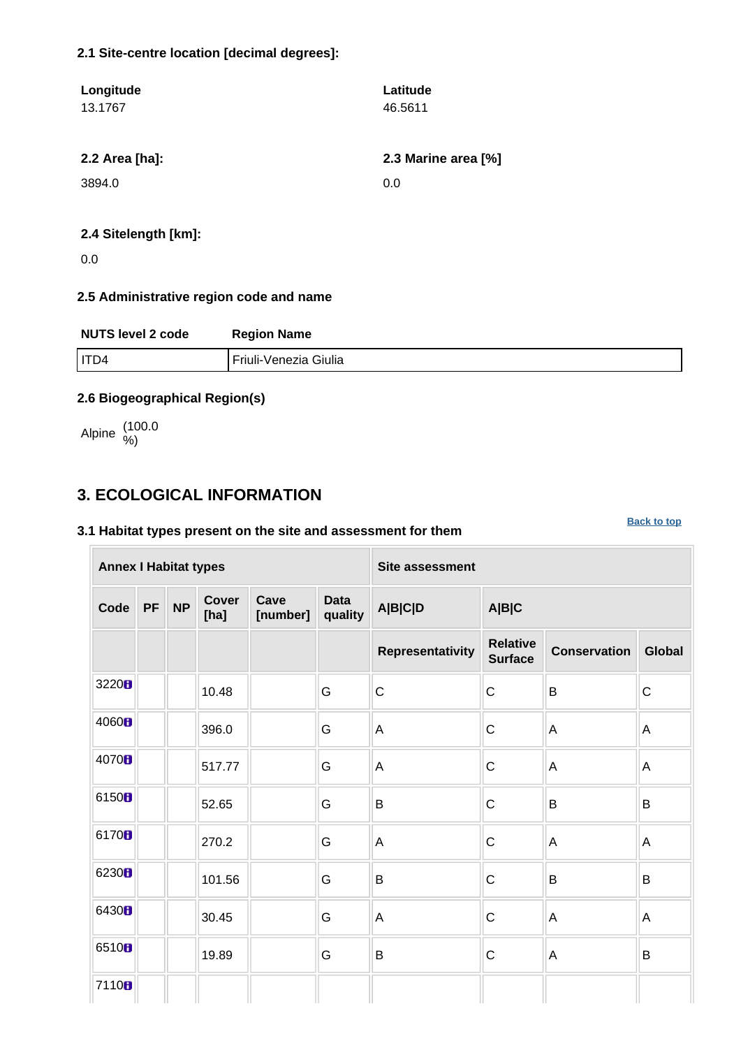### **2.1 Site-centre location [decimal degrees]:**

| Longitude<br>13.1767 | Latitude<br>46.5611 |
|----------------------|---------------------|
| 2.2 Area [ha]:       | 2.3 Marine area [%] |
| 3894.0               | 0.0                 |
|                      |                     |

### **2.4 Sitelength [km]:**

0.0

### **2.5 Administrative region code and name**

| <b>NUTS level 2 code</b> | <b>Region Name</b>    |
|--------------------------|-----------------------|
| I ITD4                   | Friuli-Venezia Giulia |

### **2.6 Biogeographical Region(s)**

Alpine (100.0 %)

# <span id="page-1-0"></span>**3. ECOLOGICAL INFORMATION**

### **3.1 Habitat types present on the site and assessment for them**

| <b>Annex I Habitat types</b> |    |           |                      |                  |                        | <b>Site assessment</b>  |                                   |                     |               |  |  |  |
|------------------------------|----|-----------|----------------------|------------------|------------------------|-------------------------|-----------------------------------|---------------------|---------------|--|--|--|
| Code                         | PF | <b>NP</b> | <b>Cover</b><br>[ha] | Cave<br>[number] | <b>Data</b><br>quality | A B C D                 | A B C                             |                     |               |  |  |  |
|                              |    |           |                      |                  |                        | <b>Representativity</b> | <b>Relative</b><br><b>Surface</b> | <b>Conservation</b> | <b>Global</b> |  |  |  |
| 3220 <sub>B</sub>            |    |           | 10.48                |                  | G                      | $\mathsf{C}$            | $\mathsf C$                       | B                   | $\mathsf C$   |  |  |  |
| 4060 <sub>B</sub>            |    |           | 396.0                |                  | G                      | A                       | $\mathsf C$                       | A                   | A             |  |  |  |
| 4070 <sub>B</sub>            |    |           | 517.77               |                  | G                      | A                       | $\mathsf C$                       | $\mathsf A$         | A             |  |  |  |
| 6150B                        |    |           | 52.65                |                  | G                      | B                       | $\mathsf C$                       | B                   | $\sf B$       |  |  |  |
| 6170 <sub>8</sub>            |    |           | 270.2                |                  | G                      | A                       | $\mathsf C$                       | $\mathsf A$         | A             |  |  |  |
| 6230 <sub>B</sub>            |    |           | 101.56               |                  | G                      | B                       | $\mathsf{C}$                      | B                   | B             |  |  |  |
| 6430H                        |    |           | 30.45                |                  | G                      | $\overline{A}$          | $\mathsf{C}$                      | A                   | A             |  |  |  |
| 6510 <sub>B</sub>            |    |           | 19.89                |                  | G                      | B                       | $\mathsf C$                       | A                   | B             |  |  |  |
| 7110B                        |    |           |                      |                  |                        |                         |                                   |                     |               |  |  |  |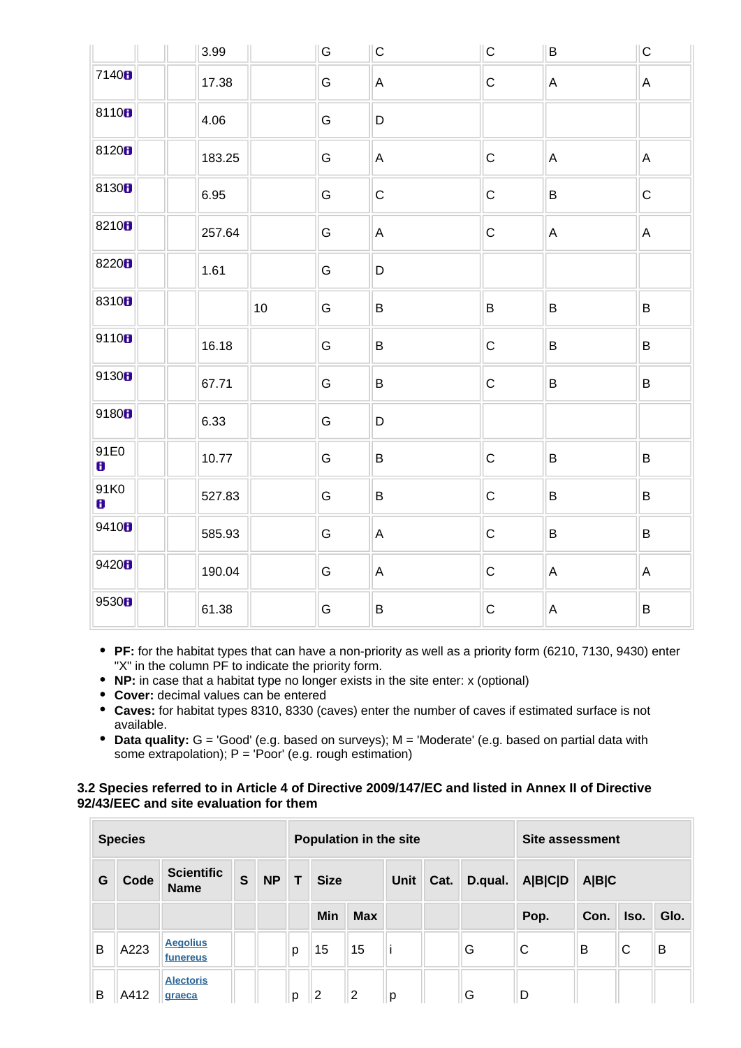|                   | 3.99   |    | ${\mathsf G}$ | $\vert$ C    | ${\bf C}$   | B               | $\overline{\mathsf{C}}$ |
|-------------------|--------|----|---------------|--------------|-------------|-----------------|-------------------------|
| 7140 <sup>8</sup> | 17.38  |    | G             | $\mathsf{A}$ | ${\bf C}$   | $\mathsf A$     | $\mathsf{A}$            |
| 81108             | 4.06   |    | G             | $\mathsf D$  |             |                 |                         |
| 81208             | 183.25 |    | G             | $\mathsf{A}$ | $\mathsf C$ | $\mathsf A$     | $\mathsf{A}$            |
| 8130 <sub>8</sub> | 6.95   |    | G             | $\mathsf C$  | $\mathbf C$ | $\, {\bf B} \,$ | $\overline{C}$          |
| 8210 <sub>8</sub> | 257.64 |    | ${\mathsf G}$ | $\mathsf{A}$ | $\mathbf C$ | $\mathsf A$     | $\mathsf{A}$            |
| 8220 <sub>8</sub> | 1.61   |    | G             | D            |             |                 |                         |
| 8310 <sub>8</sub> |        | 10 | G             | $\sf B$      | B           | $\, {\bf B} \,$ | B                       |
| 9110B             | 16.18  |    | G             | $\sf B$      | $\mathsf C$ | $\sf B$         | $\, {\sf B}$            |
| 9130B             | 67.71  |    | G             | $\sf B$      | $\mathsf C$ | $\, {\bf B} \,$ | B                       |
| 9180H             | 6.33   |    | G             | $\mathsf D$  |             |                 |                         |
| 91E0<br>8         | 10.77  |    | G             | $\sf B$      | $\mathsf C$ | $\sf B$         | $\sf B$                 |
| 91K0<br>8         | 527.83 |    | G             | $\sf B$      | $\mathsf C$ | $\sf B$         | $\sf B$                 |
| 9410H             | 585.93 |    | G             | $\mathsf{A}$ | $\mathsf C$ | $\sf B$         | $\, {\sf B}$            |
| 9420B             | 190.04 |    | G             | $\mathsf{A}$ | $\mathbf C$ | A               | $\mathsf{A}$            |
| 9530 <sub>B</sub> | 61.38  |    | G             | $\sf B$      | $\mathsf C$ | $\mathsf A$     | $\sf B$                 |

- **PF:** for the habitat types that can have a non-priority as well as a priority form (6210, 7130, 9430) enter "X" in the column PF to indicate the priority form.
- **NP:** in case that a habitat type no longer exists in the site enter: x (optional)
- **Cover:** decimal values can be entered
- **Caves:** for habitat types 8310, 8330 (caves) enter the number of caves if estimated surface is not available.
- **Data quality:** G = 'Good' (e.g. based on surveys); M = 'Moderate' (e.g. based on partial data with some extrapolation); P = 'Poor' (e.g. rough estimation)

### **3.2 Species referred to in Article 4 of Directive 2009/147/EC and listed in Annex II of Directive 92/43/EEC and site evaluation for them**

|   | <b>Species</b> |                                  |   |           |              | Population in the site |            |   |      |         | Site assessment |       |      |      |  |
|---|----------------|----------------------------------|---|-----------|--------------|------------------------|------------|---|------|---------|-----------------|-------|------|------|--|
| G | Code           | <b>Scientific</b><br><b>Name</b> | S | <b>NP</b> | $\mathsf{T}$ | <b>Size</b>            |            |   | Cat. | D.qual. | <b>A B C D</b>  | A B C |      |      |  |
|   |                |                                  |   |           |              | Min                    | <b>Max</b> |   |      |         | Pop.            | Con.  | Iso. | Glo. |  |
| B | A223           | <b>Aegolius</b><br>funereus      |   |           | р            | 15                     | 15         |   |      | G       | C               | B     | C    | B    |  |
| B | A412           | <b>Alectoris</b><br>graeca       |   |           | p            | $\overline{2}$         | 2          | p |      | G       | D               |       |      |      |  |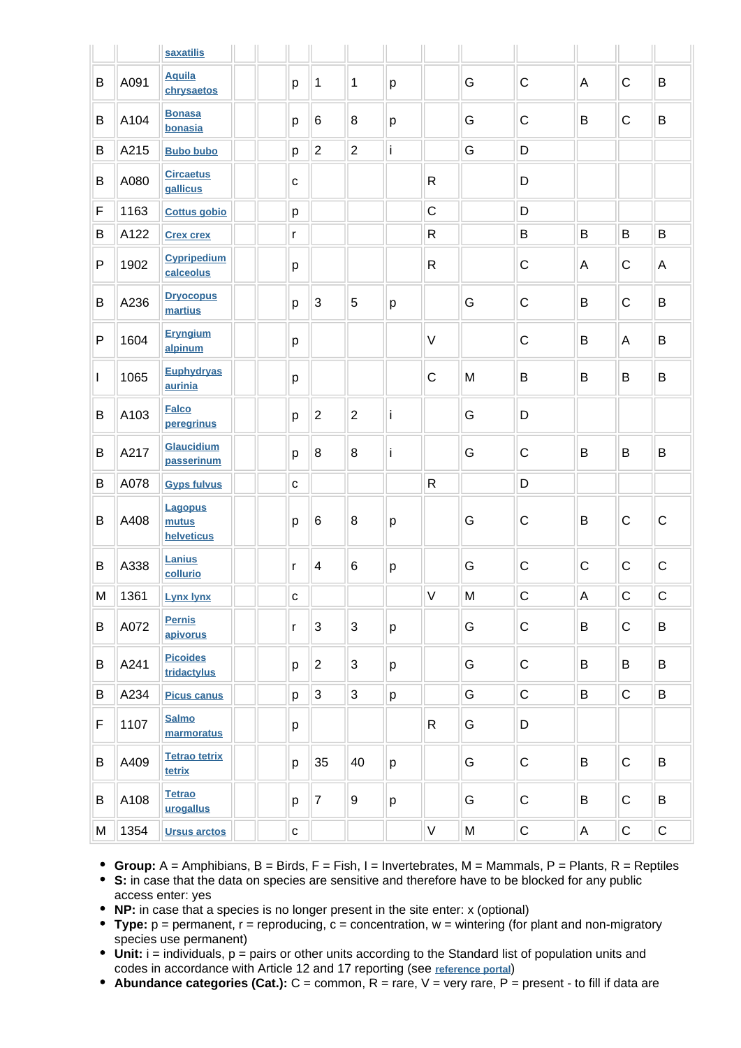|   |      | saxatilis                             |              |                           |                |   |              |   |              |   |             |              |
|---|------|---------------------------------------|--------------|---------------------------|----------------|---|--------------|---|--------------|---|-------------|--------------|
| B | A091 | <b>Aquila</b><br>chrysaetos           | p            | $\mathbf 1$               | 1              | p |              | G | $\mathsf C$  | A | $\mathsf C$ | B            |
| B | A104 | <b>Bonasa</b><br>bonasia              | p            | 6                         | 8              | p |              | G | $\mathsf{C}$ | B | $\mathsf C$ | B            |
| B | A215 | <b>Bubo bubo</b>                      | p            | $\overline{2}$            | $\overline{2}$ | İ |              | G | D            |   |             |              |
| B | A080 | <b>Circaetus</b><br>gallicus          | $\mathbf{C}$ |                           |                |   | $\mathsf R$  |   | D            |   |             |              |
| F | 1163 | <b>Cottus gobio</b>                   | p            |                           |                |   | $\mathsf{C}$ |   | D            |   |             |              |
| B | A122 | <b>Crex crex</b>                      | r            |                           |                |   | $\mathsf R$  |   | B            | B | B           | $\sf B$      |
| P | 1902 | <b>Cypripedium</b><br>calceolus       | p            |                           |                |   | $\mathsf R$  |   | $\mathsf C$  | Α | $\mathsf C$ | A            |
| B | A236 | <b>Dryocopus</b><br>martius           | p            | 3                         | 5              | p |              | G | $\mathsf C$  | B | $\mathsf C$ | B            |
| P | 1604 | <b>Eryngium</b><br>alpinum            | p            |                           |                |   | $\vee$       |   | $\mathsf C$  | B | A           | B            |
| I | 1065 | <b>Euphydryas</b><br>aurinia          | p            |                           |                |   | $\mathsf{C}$ | M | B            | B | B           | B            |
| B | A103 | <b>Falco</b><br>peregrinus            | p            | $\overline{2}$            | $\overline{2}$ | İ |              | G | D            |   |             |              |
| B | A217 | <b>Glaucidium</b><br>passerinum       | p            | 8                         | 8              | İ |              | G | $\mathsf C$  | B | B           | B            |
| B | A078 | <b>Gyps fulvus</b>                    | $\mathbf{C}$ |                           |                |   | ${\sf R}$    |   | D            |   |             |              |
| B | A408 | <b>Lagopus</b><br>mutus<br>helveticus | p            | 6                         | 8              | р |              | G | $\mathsf C$  | B | $\mathsf C$ | $\mathsf C$  |
| B | A338 | Lanius<br>collurio                    | r            | $\overline{\mathbf{4}}$   | $\,6$          | p |              | G | $\mathsf C$  | C | $\mathsf C$ | $\mathsf C$  |
| M | 1361 | <b>Lynx lynx</b>                      | С            |                           |                |   | $\vee$       | M | $\mathsf C$  | A | $\mathsf C$ | $\mathsf{C}$ |
| B | A072 | <b>Pernis</b><br>apivorus             | r            | $\ensuremath{\mathsf{3}}$ | $\mathbf{3}$   | p |              | G | $\mathsf C$  | B | $\mathbf C$ | B            |
| В | A241 | <b>Picoides</b><br>tridactylus        | p            | $\overline{c}$            | $\mathbf{3}$   | p |              | G | $\mathsf C$  | B | B           | B            |
| B | A234 | <b>Picus canus</b>                    | p            | $\sqrt{3}$                | $\mathbf{3}$   | p |              | G | $\mathsf C$  | B | $\mathsf C$ | B            |
| F | 1107 | <b>Salmo</b><br>marmoratus            | р            |                           |                |   | R            | G | D            |   |             |              |
| B | A409 | <b>Tetrao tetrix</b><br>tetrix        | p            | 35                        | 40             | p |              | G | $\mathsf C$  | B | $\mathsf C$ | B            |
| В | A108 | <b>Tetrao</b><br>urogallus            | p            | $\overline{7}$            | 9              | p |              | G | $\mathsf C$  | B | $\mathsf C$ | B            |
| M | 1354 | <b>Ursus arctos</b>                   | C            |                           |                |   | V            | M | $\mathsf C$  | Α | C           | $\mathsf C$  |

**Group:** A = Amphibians, B = Birds, F = Fish, I = Invertebrates, M = Mammals, P = Plants, R = Reptiles

**S:** in case that the data on species are sensitive and therefore have to be blocked for any public access enter: yes

**NP:** in case that a species is no longer present in the site enter: x (optional)

- **Type:** p = permanent, r = reproducing, c = concentration, w = wintering (for plant and non-migratory species use permanent)
- Unit: i = individuals, p = pairs or other units according to the Standard list of population units and codes in accordance with Article 12 and 17 reporting (see **[reference portal](http://bd.eionet.europa.eu/activities/Natura_2000/reference_portal)**)
- Abundance categories (Cat.): C = common, R = rare, V = very rare, P = present to fill if data are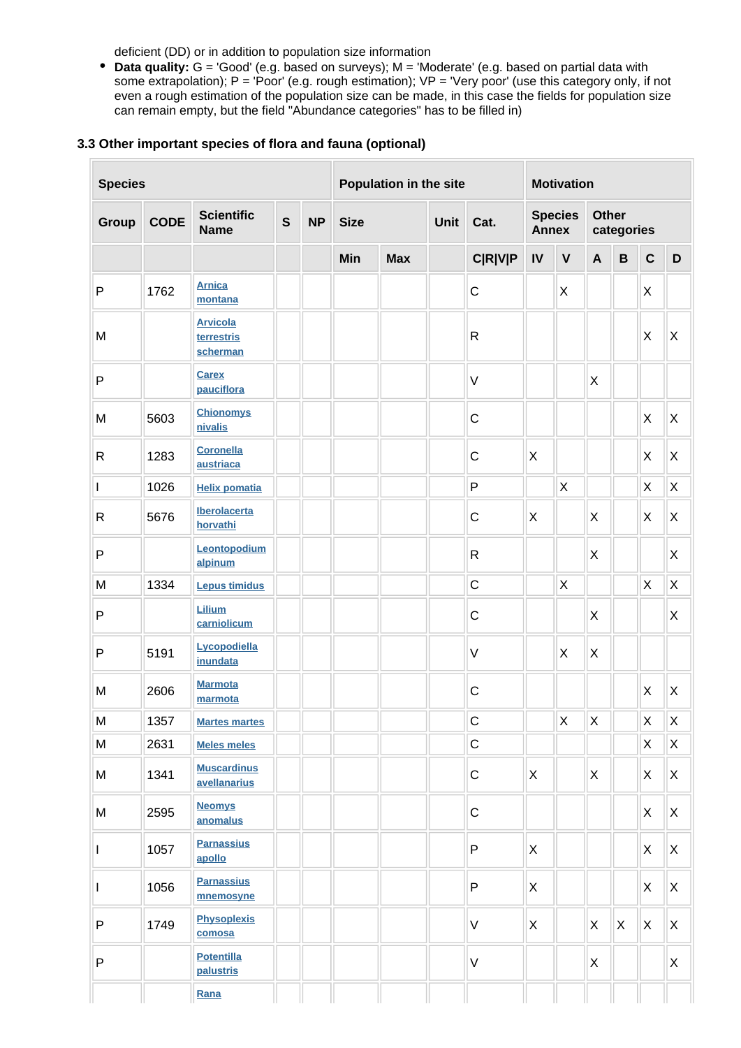deficient (DD) or in addition to population size information

**Data quality:** G = 'Good' (e.g. based on surveys); M = 'Moderate' (e.g. based on partial data with some extrapolation); P = 'Poor' (e.g. rough estimation); VP = 'Very poor' (use this category only, if not even a rough estimation of the population size can be made, in this case the fields for population size can remain empty, but the field "Abundance categories" has to be filled in)

### **3.3 Other important species of flora and fauna (optional)**

| <b>Species</b> |             |                                           |              |           | Population in the site |              |  |                |                                | <b>Motivation</b> |                     |                |                |                |  |  |
|----------------|-------------|-------------------------------------------|--------------|-----------|------------------------|--------------|--|----------------|--------------------------------|-------------------|---------------------|----------------|----------------|----------------|--|--|
| <b>Group</b>   | <b>CODE</b> | <b>Scientific</b><br><b>Name</b>          | $\mathsf{s}$ | <b>NP</b> | <b>Size</b>            | Unit<br>Cat. |  |                | <b>Species</b><br><b>Annex</b> |                   | Other<br>categories |                |                |                |  |  |
|                |             |                                           |              |           | Min                    | <b>Max</b>   |  | <b>C R V P</b> | ${\sf IV}$                     | $\mathbf v$       | $\mathbf{A}$        | $\, {\bf B}$   | $\mathbf C$    | D              |  |  |
| $\mathsf{P}$   | 1762        | <b>Arnica</b><br>montana                  |              |           |                        |              |  | $\mathsf C$    |                                | X                 |                     |                | X              |                |  |  |
| M              |             | <b>Arvicola</b><br>terrestris<br>scherman |              |           |                        |              |  | $\mathsf{R}$   |                                |                   |                     |                | $\mathsf{X}$   | $\sf X$        |  |  |
| $\mathsf{P}$   |             | <b>Carex</b><br>pauciflora                |              |           |                        |              |  | $\vee$         |                                |                   | X                   |                |                |                |  |  |
| M              | 5603        | <b>Chionomys</b><br>nivalis               |              |           |                        |              |  | $\mathsf C$    |                                |                   |                     |                | $\mathsf{X}$   | $\pmb{\times}$ |  |  |
| $\mathsf{R}$   | 1283        | <b>Coronella</b><br>austriaca             |              |           |                        |              |  | $\mathsf C$    | X                              |                   |                     |                | $\mathsf{X}$   | $\mathsf X$    |  |  |
| I              | 1026        | <b>Helix pomatia</b>                      |              |           |                        |              |  | $\mathsf{P}$   |                                | $\mathsf{X}$      |                     |                | X              | $\pmb{\times}$ |  |  |
| $\mathsf{R}$   | 5676        | Iberolacerta<br>horvathi                  |              |           |                        |              |  | $\mathsf C$    | X                              |                   | X                   |                | X              | X              |  |  |
| $\mathsf{P}$   |             | Leontopodium<br>alpinum                   |              |           |                        |              |  | $\mathsf{R}$   |                                |                   | X                   |                |                | X              |  |  |
| M              | 1334        | <b>Lepus timidus</b>                      |              |           |                        |              |  | $\mathsf C$    |                                | X                 |                     |                | $\pmb{\times}$ | $\sf X$        |  |  |
| $\mathsf{P}$   |             | Lilium<br>carniolicum                     |              |           |                        |              |  | $\mathsf C$    |                                |                   | X                   |                |                | X              |  |  |
| $\mathsf{P}$   | 5191        | Lycopodiella<br>inundata                  |              |           |                        |              |  | $\sf V$        |                                | X                 | X                   |                |                |                |  |  |
| M              | 2606        | <b>Marmota</b><br>marmota                 |              |           |                        |              |  | $\mathsf C$    |                                |                   |                     |                | X              | X              |  |  |
| M              | 1357        | <b>Martes martes</b>                      |              |           |                        |              |  | $\mathsf C$    |                                | $\mathsf X$       | $\pmb{\mathsf{X}}$  |                | $\mathsf X$    | $\mathsf X$    |  |  |
| M              | 2631        | <b>Meles meles</b>                        |              |           |                        |              |  | $\mathsf C$    |                                |                   |                     |                | $\mathsf{X}$   | X              |  |  |
| M              | 1341        | <b>Muscardinus</b><br>avellanarius        |              |           |                        |              |  | $\mathsf C$    | $\mathsf{X}$                   |                   | $\mathsf{X}$        |                | X              | X              |  |  |
| M              | 2595        | <b>Neomys</b><br>anomalus                 |              |           |                        |              |  | $\mathsf C$    |                                |                   |                     |                | X              | X              |  |  |
| $\mathbf{I}$   | 1057        | <b>Parnassius</b><br>apollo               |              |           |                        |              |  | P              | $\mathsf{X}$                   |                   |                     |                | X              | X              |  |  |
| I              | 1056        | <b>Parnassius</b><br>mnemosyne            |              |           |                        |              |  | P              | X                              |                   |                     |                | X              | X              |  |  |
| ${\sf P}$      | 1749        | <b>Physoplexis</b><br>comosa              |              |           |                        |              |  | $\vee$         | $\mathsf{X}$                   |                   | $\mathsf{X}$        | $\pmb{\times}$ | X              | X              |  |  |
| ${\sf P}$      |             | <b>Potentilla</b><br>palustris            |              |           |                        |              |  | $\mathsf V$    |                                |                   | X                   |                |                | X              |  |  |
|                |             | Rana                                      |              |           |                        |              |  |                |                                |                   |                     |                |                |                |  |  |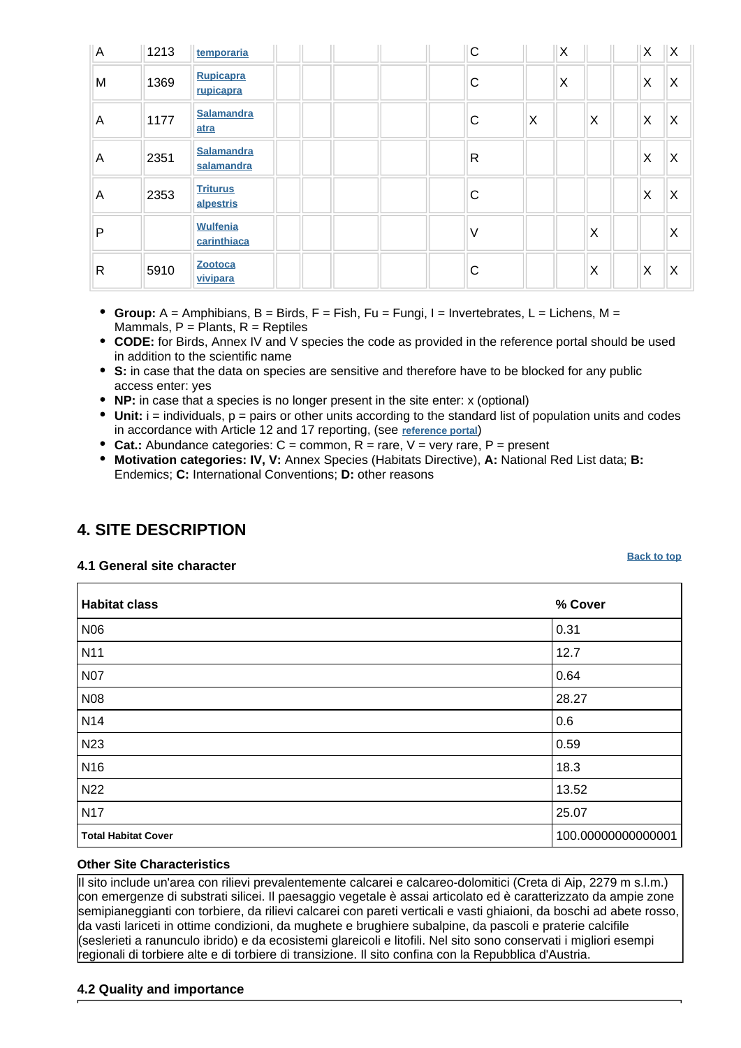| A | 1213 | temporaria                     |  |  | C            |   | X |   | $\times$ | ΙX                        |
|---|------|--------------------------------|--|--|--------------|---|---|---|----------|---------------------------|
| M | 1369 | Rupicapra<br>rupicapra         |  |  | C            |   | X |   | X        | $\overline{\mathsf{x}}$   |
| Α | 1177 | Salamandra<br>atra             |  |  | C            | X |   | X | Χ        | $\boldsymbol{\mathsf{X}}$ |
| A | 2351 | Salamandra<br>salamandra       |  |  | $\mathsf{R}$ |   |   |   | X        | $\times$                  |
| A | 2353 | <b>Triturus</b><br>alpestris   |  |  | С            |   |   |   | X        | $\times$                  |
| P |      | <b>Wulfenia</b><br>carinthiaca |  |  | $\vee$       |   |   | X |          | $\boldsymbol{\mathsf{X}}$ |
| R | 5910 | <b>Zootoca</b><br>vivipara     |  |  | С            |   |   | X | X        | X                         |

- **Group:** A = Amphibians, B = Birds, F = Fish, Fu = Fungi, I = Invertebrates, L = Lichens, M = Mammals,  $P =$  Plants,  $R =$  Reptiles
- **CODE:** for Birds, Annex IV and V species the code as provided in the reference portal should be used in addition to the scientific name
- **S:** in case that the data on species are sensitive and therefore have to be blocked for any public access enter: yes
- **NP:** in case that a species is no longer present in the site enter: x (optional)
- $\bullet$  Unit:  $i =$  individuals,  $p =$  pairs or other units according to the standard list of population units and codes in accordance with Article 12 and 17 reporting, (see **[reference portal](http://bd.eionet.europa.eu/activities/Natura_2000/reference_portal)**)
- **Cat.:** Abundance categories:  $C =$  common,  $R =$  rare,  $V =$  very rare,  $P =$  present
- **Motivation categories: IV, V:** Annex Species (Habitats Directive), **A:** National Red List data; **B:** Endemics; **C:** International Conventions; **D:** other reasons

# <span id="page-5-0"></span>**4. SITE DESCRIPTION**

**4.1 General site character**

| <b>Habitat class</b>       | % Cover            |
|----------------------------|--------------------|
| N06                        | 0.31               |
| N <sub>11</sub>            | 12.7               |
| <b>N07</b>                 | 0.64               |
| N08                        | 28.27              |
| <b>N14</b>                 | 0.6                |
| N <sub>23</sub>            | 0.59               |
| N <sub>16</sub>            | 18.3               |
| N <sub>22</sub>            | 13.52              |
| <b>N17</b>                 | 25.07              |
| <b>Total Habitat Cover</b> | 100.00000000000001 |

### **Other Site Characteristics**

Il sito include un'area con rilievi prevalentemente calcarei e calcareo-dolomitici (Creta di Aip, 2279 m s.l.m.) con emergenze di substrati silicei. Il paesaggio vegetale è assai articolato ed è caratterizzato da ampie zone semipianeggianti con torbiere, da rilievi calcarei con pareti verticali e vasti ghiaioni, da boschi ad abete rosso, da vasti lariceti in ottime condizioni, da mughete e brughiere subalpine, da pascoli e praterie calcifile (seslerieti a ranunculo ibrido) e da ecosistemi glareicoli e litofili. Nel sito sono conservati i migliori esempi regionali di torbiere alte e di torbiere di transizione. Il sito confina con la Repubblica d'Austria.

### **4.2 Quality and importance**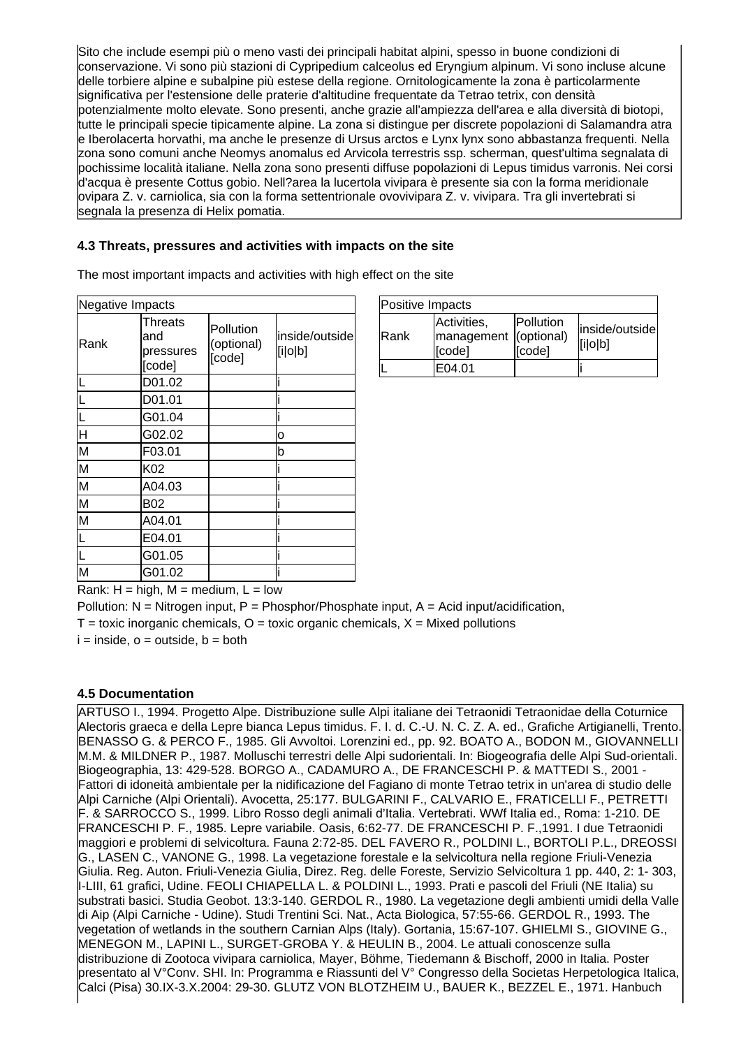Sito che include esempi più o meno vasti dei principali habitat alpini, spesso in buone condizioni di conservazione. Vi sono più stazioni di Cypripedium calceolus ed Eryngium alpinum. Vi sono incluse alcune delle torbiere alpine e subalpine più estese della regione. Ornitologicamente la zona è particolarmente significativa per l'estensione delle praterie d'altitudine frequentate da Tetrao tetrix, con densità potenzialmente molto elevate. Sono presenti, anche grazie all'ampiezza dell'area e alla diversità di biotopi, tutte le principali specie tipicamente alpine. La zona si distingue per discrete popolazioni di Salamandra atra e Iberolacerta horvathi, ma anche le presenze di Ursus arctos e Lynx lynx sono abbastanza frequenti. Nella zona sono comuni anche Neomys anomalus ed Arvicola terrestris ssp. scherman, quest'ultima segnalata di pochissime località italiane. Nella zona sono presenti diffuse popolazioni di Lepus timidus varronis. Nei corsi d'acqua è presente Cottus gobio. Nell?area la lucertola vivipara è presente sia con la forma meridionale ovipara Z. v. carniolica, sia con la forma settentrionale ovovivipara Z. v. vivipara. Tra gli invertebrati si segnala la presenza di Helix pomatia.

### **4.3 Threats, pressures and activities with impacts on the site**

The most important impacts and activities with high effect on the site

| Negative Impacts        |                                       |                                   |                           |
|-------------------------|---------------------------------------|-----------------------------------|---------------------------|
| lRank                   | Threats<br>and<br>pressures<br>[code] | Pollution<br>(optional)<br>[code] | inside/outside<br>[i o b] |
| 囗                       | D01.02                                |                                   |                           |
| 匸                       | D01.01                                |                                   |                           |
| L                       | G01.04                                |                                   |                           |
| Η                       | G02.02                                |                                   | o                         |
| M                       | F03.01                                |                                   | b                         |
| M                       | K02                                   |                                   |                           |
| M                       | A04.03                                |                                   |                           |
| M                       | B02                                   |                                   |                           |
| M                       | A04.01                                |                                   |                           |
| $\overline{\mathsf{L}}$ | E04.01                                |                                   |                           |
| Γ                       | G01.05                                |                                   |                           |
| M                       | G01.02                                |                                   |                           |

| Positive Impacts |                                                |                     |                           |
|------------------|------------------------------------------------|---------------------|---------------------------|
| <b>IRank</b>     | Activities,<br>management (optional)<br>[code] | Pollution<br>[code] | inside/outside<br>[i o b] |
|                  | E04.01                                         |                     |                           |

Rank:  $H = high$ ,  $M = medium$ ,  $L = low$ 

Pollution:  $N =$  Nitrogen input, P = Phosphor/Phosphate input, A = Acid input/acidification,

 $T =$  toxic inorganic chemicals,  $O =$  toxic organic chemicals,  $X =$  Mixed pollutions

 $i = inside, o = outside, b = both$ 

### **4.5 Documentation**

ARTUSO I., 1994. Progetto Alpe. Distribuzione sulle Alpi italiane dei Tetraonidi Tetraonidae della Coturnice Alectoris graeca e della Lepre bianca Lepus timidus. F. I. d. C.-U. N. C. Z. A. ed., Grafiche Artigianelli, Trento. BENASSO G. & PERCO F., 1985. Gli Avvoltoi. Lorenzini ed., pp. 92. BOATO A., BODON M., GIOVANNELLI M.M. & MILDNER P., 1987. Molluschi terrestri delle Alpi sudorientali. In: Biogeografia delle Alpi Sud-orientali. Biogeographia, 13: 429-528. BORGO A., CADAMURO A., DE FRANCESCHI P. & MATTEDI S., 2001 - Fattori di idoneità ambientale per la nidificazione del Fagiano di monte Tetrao tetrix in un'area di studio delle Alpi Carniche (Alpi Orientali). Avocetta, 25:177. BULGARINI F., CALVARIO E., FRATICELLI F., PETRETTI F. & SARROCCO S., 1999. Libro Rosso degli animali d'Italia. Vertebrati. WWf Italia ed., Roma: 1-210. DE FRANCESCHI P. F., 1985. Lepre variabile. Oasis, 6:62-77. DE FRANCESCHI P. F.,1991. I due Tetraonidi maggiori e problemi di selvicoltura. Fauna 2:72-85. DEL FAVERO R., POLDINI L., BORTOLI P.L., DREOSSI G., LASEN C., VANONE G., 1998. La vegetazione forestale e la selvicoltura nella regione Friuli-Venezia Giulia. Reg. Auton. Friuli-Venezia Giulia, Direz. Reg. delle Foreste, Servizio Selvicoltura 1 pp. 440, 2: 1- 303, I-LIII, 61 grafici, Udine. FEOLI CHIAPELLA L. & POLDINI L., 1993. Prati e pascoli del Friuli (NE Italia) su substrati basici. Studia Geobot. 13:3-140. GERDOL R., 1980. La vegetazione degli ambienti umidi della Valle di Aip (Alpi Carniche - Udine). Studi Trentini Sci. Nat., Acta Biologica, 57:55-66. GERDOL R., 1993. The vegetation of wetlands in the southern Carnian Alps (Italy). Gortania, 15:67-107. GHIELMI S., GIOVINE G., MENEGON M., LAPINI L., SURGET-GROBA Y. & HEULIN B., 2004. Le attuali conoscenze sulla distribuzione di Zootoca vivipara carniolica, Mayer, Böhme, Tiedemann & Bischoff, 2000 in Italia. Poster presentato al V°Conv. SHI. In: Programma e Riassunti del V° Congresso della Societas Herpetologica Italica, Calci (Pisa) 30.IX-3.X.2004: 29-30. GLUTZ VON BLOTZHEIM U., BAUER K., BEZZEL E., 1971. Hanbuch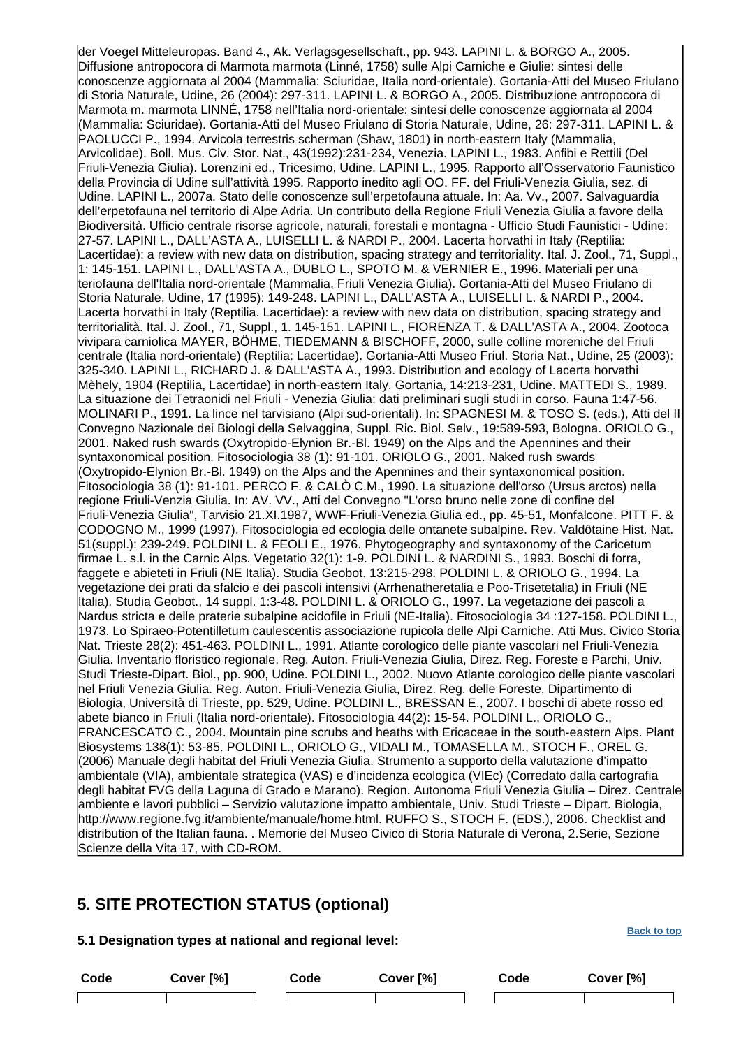der Voegel Mitteleuropas. Band 4., Ak. Verlagsgesellschaft., pp. 943. LAPINI L. & BORGO A., 2005. Diffusione antropocora di Marmota marmota (Linné, 1758) sulle Alpi Carniche e Giulie: sintesi delle conoscenze aggiornata al 2004 (Mammalia: Sciuridae, Italia nord-orientale). Gortania-Atti del Museo Friulano di Storia Naturale, Udine, 26 (2004): 297-311. LAPINI L. & BORGO A., 2005. Distribuzione antropocora di Marmota m. marmota LINNÉ, 1758 nell'Italia nord-orientale: sintesi delle conoscenze aggiornata al 2004 (Mammalia: Sciuridae). Gortania-Atti del Museo Friulano di Storia Naturale, Udine, 26: 297-311. LAPINI L. & PAOLUCCI P., 1994. Arvicola terrestris scherman (Shaw, 1801) in north-eastern Italy (Mammalia, Arvicolidae). Boll. Mus. Civ. Stor. Nat., 43(1992):231-234, Venezia. LAPINI L., 1983. Anfibi e Rettili (Del Friuli-Venezia Giulia). Lorenzini ed., Tricesimo, Udine. LAPINI L., 1995. Rapporto all'Osservatorio Faunistico della Provincia di Udine sull'attività 1995. Rapporto inedito agli OO. FF. del Friuli-Venezia Giulia, sez. di Udine. LAPINI L., 2007a. Stato delle conoscenze sull'erpetofauna attuale. In: Aa. Vv., 2007. Salvaguardia dell'erpetofauna nel territorio di Alpe Adria. Un contributo della Regione Friuli Venezia Giulia a favore della Biodiversità. Ufficio centrale risorse agricole, naturali, forestali e montagna - Ufficio Studi Faunistici - Udine: 27-57. LAPINI L., DALL'ASTA A., LUISELLI L. & NARDI P., 2004. Lacerta horvathi in Italy (Reptilia: Lacertidae): a review with new data on distribution, spacing strategy and territoriality. Ital. J. Zool., 71, Suppl., 1: 145-151. LAPINI L., DALL'ASTA A., DUBLO L., SPOTO M. & VERNIER E., 1996. Materiali per una teriofauna dell'Italia nord-orientale (Mammalia, Friuli Venezia Giulia). Gortania-Atti del Museo Friulano di Storia Naturale, Udine, 17 (1995): 149-248. LAPINI L., DALL'ASTA A., LUISELLI L. & NARDI P., 2004. Lacerta horvathi in Italy (Reptilia. Lacertidae): a review with new data on distribution, spacing strategy and territorialità. Ital. J. Zool., 71, Suppl., 1. 145-151. LAPINI L., FIORENZA T. & DALL'ASTA A., 2004. Zootoca vivipara carniolica MAYER, BÖHME, TIEDEMANN & BISCHOFF, 2000, sulle colline moreniche del Friuli centrale (Italia nord-orientale) (Reptilia: Lacertidae). Gortania-Atti Museo Friul. Storia Nat., Udine, 25 (2003): 325-340. LAPINI L., RICHARD J. & DALL'ASTA A., 1993. Distribution and ecology of Lacerta horvathi Mèhely, 1904 (Reptilia, Lacertidae) in north-eastern Italy. Gortania, 14:213-231, Udine. MATTEDI S., 1989. La situazione dei Tetraonidi nel Friuli - Venezia Giulia: dati preliminari sugli studi in corso. Fauna 1:47-56. MOLINARI P., 1991. La lince nel tarvisiano (Alpi sud-orientali). In: SPAGNESI M. & TOSO S. (eds.), Atti del II Convegno Nazionale dei Biologi della Selvaggina, Suppl. Ric. Biol. Selv., 19:589-593, Bologna. ORIOLO G., 2001. Naked rush swards (Oxytropido-Elynion Br.-Bl. 1949) on the Alps and the Apennines and their syntaxonomical position. Fitosociologia 38 (1): 91-101. ORIOLO G., 2001. Naked rush swards (Oxytropido-Elynion Br.-Bl. 1949) on the Alps and the Apennines and their syntaxonomical position. Fitosociologia 38 (1): 91-101. PERCO F. & CALÒ C.M., 1990. La situazione dell'orso (Ursus arctos) nella regione Friuli-Venzia Giulia. In: AV. VV., Atti del Convegno "L'orso bruno nelle zone di confine del Friuli-Venezia Giulia", Tarvisio 21.XI.1987, WWF-Friuli-Venezia Giulia ed., pp. 45-51, Monfalcone. PITT F. & CODOGNO M., 1999 (1997). Fitosociologia ed ecologia delle ontanete subalpine. Rev. Valdôtaine Hist. Nat. 51(suppl.): 239-249. POLDINI L. & FEOLI E., 1976. Phytogeography and syntaxonomy of the Caricetum firmae L. s.l. in the Carnic Alps. Vegetatio 32(1): 1-9. POLDINI L. & NARDINI S., 1993. Boschi di forra, faggete e abieteti in Friuli (NE Italia). Studia Geobot. 13:215-298. POLDINI L. & ORIOLO G., 1994. La vegetazione dei prati da sfalcio e dei pascoli intensivi (Arrhenatheretalia e Poo-Trisetetalia) in Friuli (NE Italia). Studia Geobot., 14 suppl. 1:3-48. POLDINI L. & ORIOLO G., 1997. La vegetazione dei pascoli a Nardus stricta e delle praterie subalpine acidofile in Friuli (NE-Italia). Fitosociologia 34 :127-158. POLDINI L., 1973. Lo Spiraeo-Potentilletum caulescentis associazione rupicola delle Alpi Carniche. Atti Mus. Civico Storia Nat. Trieste 28(2): 451-463. POLDINI L., 1991. Atlante corologico delle piante vascolari nel Friuli-Venezia Giulia. Inventario floristico regionale. Reg. Auton. Friuli-Venezia Giulia, Direz. Reg. Foreste e Parchi, Univ. Studi Trieste-Dipart. Biol., pp. 900, Udine. POLDINI L., 2002. Nuovo Atlante corologico delle piante vascolari nel Friuli Venezia Giulia. Reg. Auton. Friuli-Venezia Giulia, Direz. Reg. delle Foreste, Dipartimento di Biologia, Università di Trieste, pp. 529, Udine. POLDINI L., BRESSAN E., 2007. I boschi di abete rosso ed abete bianco in Friuli (Italia nord-orientale). Fitosociologia 44(2): 15-54. POLDINI L., ORIOLO G., FRANCESCATO C., 2004. Mountain pine scrubs and heaths with Ericaceae in the south-eastern Alps. Plant Biosystems 138(1): 53-85. POLDINI L., ORIOLO G., VIDALI M., TOMASELLA M., STOCH F., OREL G. (2006) Manuale degli habitat del Friuli Venezia Giulia. Strumento a supporto della valutazione d'impatto ambientale (VIA), ambientale strategica (VAS) e d'incidenza ecologica (VIEc) (Corredato dalla cartografia degli habitat FVG della Laguna di Grado e Marano). Region. Autonoma Friuli Venezia Giulia – Direz. Centrale ambiente e lavori pubblici – Servizio valutazione impatto ambientale, Univ. Studi Trieste – Dipart. Biologia, http://www.regione.fvg.it/ambiente/manuale/home.html. RUFFO S., STOCH F. (EDS.), 2006. Checklist and distribution of the Italian fauna. . Memorie del Museo Civico di Storia Naturale di Verona, 2.Serie, Sezione Scienze della Vita 17, with CD-ROM.

# <span id="page-7-0"></span>**5. SITE PROTECTION STATUS (optional)**

### **5.1 Designation types at national and regional level:**

**Code Cover [%] Code Cover [%] Code Cover [%]**